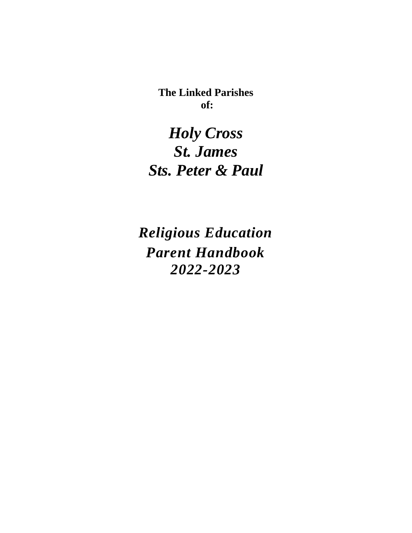**The Linked Parishes of:**

*Holy Cross St. James Sts. Peter & Paul*

*Religious Education Parent Handbook 2022-2023*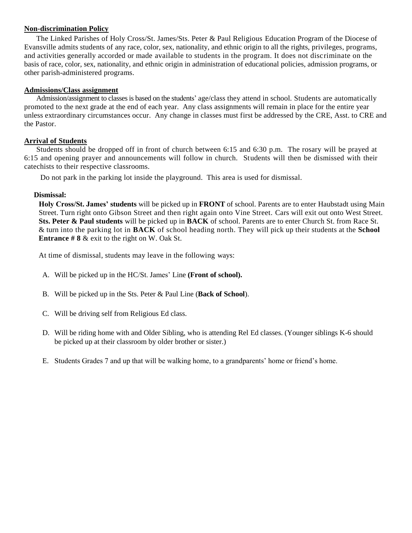#### **Non-discrimination Policy**

The Linked Parishes of Holy Cross/St. James/Sts. Peter & Paul Religious Education Program of the Diocese of Evansville admits students of any race, color, sex, nationality, and ethnic origin to all the rights, privileges, programs, and activities generally accorded or made available to students in the program. It does not discriminate on the basis of race, color, sex, nationality, and ethnic origin in administration of educational policies, admission programs, or other parish-administered programs.

#### **Admissions/Class assignment**

Admission/assignment to classes is based on the students' age/class they attend in school. Students are automatically promoted to the next grade at the end of each year. Any class assignments will remain in place for the entire year unless extraordinary circumstances occur. Any change in classes must first be addressed by the CRE, Asst. to CRE and the Pastor.

#### **Arrival of Students**

Students should be dropped off in front of church between 6:15 and 6:30 p.m. The rosary will be prayed at 6:15 and opening prayer and announcements will follow in church. Students will then be dismissed with their catechists to their respective classrooms.

Do not park in the parking lot inside the playground. This area is used for dismissal.

#### **Dismissal:**

**Holy Cross/St. James' students** will be picked up in **FRONT** of school. Parents are to enter Haubstadt using Main Street. Turn right onto Gibson Street and then right again onto Vine Street. Cars will exit out onto West Street. **Sts. Peter & Paul students** will be picked up in **BACK** of school. Parents are to enter Church St. from Race St. & turn into the parking lot in **BACK** of school heading north. They will pick up their students at the **School Entrance # 8** & exit to the right on W. Oak St.

At time of dismissal, students may leave in the following ways:

- A. Will be picked up in the HC/St. James' Line **(Front of school).**
- B. Will be picked up in the Sts. Peter & Paul Line (**Back of School**).
- C. Will be driving self from Religious Ed class.
- D. Will be riding home with and Older Sibling, who is attending Rel Ed classes. (Younger siblings K-6 should be picked up at their classroom by older brother or sister.)
- E. Students Grades 7 and up that will be walking home, to a grandparents' home or friend's home.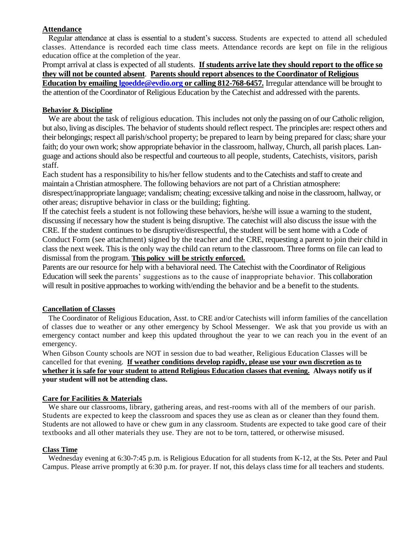# **Attendance**

Regular attendance at class is essential to a student's success. Students are expected to attend all scheduled classes. Attendance is recorded each time class meets. Attendance records are kept on file in the religious education office at the completion of the year.

Prompt arrival at class is expected of all students. **If students arrive late they should report to the office so they will not be counted absent**. **Parents should report absences to the Coordinator of Religious Education by emailing [lgoedde@evdio.org](mailto:lgoedde@evdio.org) or calling 812-768-6457.** Irregular attendance will be brought to the attention of the Coordinator of Religious Education by the Catechist and addressed with the parents.

## **Behavior & Discipline**

We are about the task of religious education. This includes not only the passing on of our Catholic religion, but also, living as disciples. The behavior of students should reflect respect. The principles are: respect others and their belongings; respect all parish/school property; be prepared to learn by being prepared for class; share your faith; do your own work; show appropriate behavior in the classroom, hallway, Church, all parish places. Language and actions should also be respectful and courteous to all people, students, Catechists, visitors, parish staff.

Each student has a responsibility to his/her fellow students and to the Catechists and staff to create and maintain a Christian atmosphere. The following behaviors are not part of a Christian atmosphere:

disrespect/inappropriate language; vandalism; cheating; excessive talking and noise in the classroom, hallway, or other areas; disruptive behavior in class or the building; fighting.

If the catechist feels a student is not following these behaviors, he/she will issue a warning to the student, discussing if necessary how the student is being disruptive. The catechist will also discuss the issue with the CRE. If the student continues to be disruptive/disrespectful, the student will be sent home with a Code of Conduct Form (see attachment) signed by the teacher and the CRE, requesting a parent to join their child in class the next week. This is the only way the child can return to the classroom. Three forms on file can lead to dismissal from the program. **This policy will be strictly enforced.**

Parents are our resource for help with a behavioral need. The Catechist with the Coordinator of Religious Education will seek the parents' suggestions as to the cause of inappropriate behavior. This collaboration will result in positive approaches to working with/ending the behavior and be a benefit to the students.

# **Cancellation of Classes**

The Coordinator of Religious Education, Asst. to CRE and/or Catechists will inform families of the cancellation of classes due to weather or any other emergency by School Messenger. We ask that you provide us with an emergency contact number and keep this updated throughout the year to we can reach you in the event of an emergency.

When Gibson County schools are NOT in session due to bad weather, Religious Education Classes will be cancelled for that evening. **If weather conditions develop rapidly, please use your own discretion as to whether it is safe for your student to attend Religious Education classes that evening. Always notify us if your student will not be attending class.**

#### **Care for Facilities & Materials**

We share our classrooms, library, gathering areas, and rest-rooms with all of the members of our parish. Students are expected to keep the classroom and spaces they use as clean as or cleaner than they found them. Students are not allowed to have or chew gum in any classroom. Students are expected to take good care of their textbooks and all other materials they use. They are not to be torn, tattered, or otherwise misused.

#### **Class Time**

Wednesday evening at 6:30-7:45 p.m. is Religious Education for all students from K-12, at the Sts. Peter and Paul Campus. Please arrive promptly at 6:30 p.m. for prayer. If not, this delays class time for all teachers and students.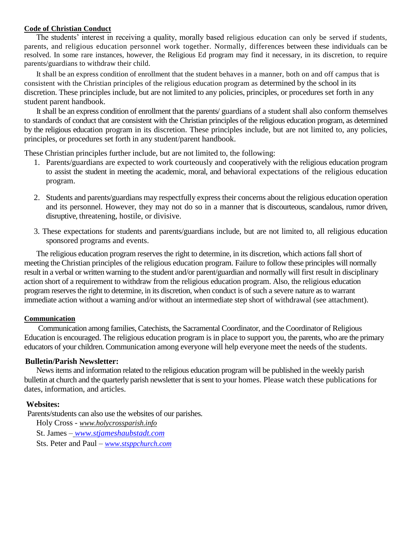#### **Code of Christian Conduct**

The students' interest in receiving a quality, morally based religious education can only be served if students, parents, and religious education personnel work together. Normally, differences between these individuals can be resolved. In some rare instances, however, the Religious Ed program may find it necessary, in its discretion, to require parents/guardians to withdraw their child.

It shall be an express condition of enrollment that the student behaves in a manner, both on and off campus that is consistent with the Christian principles of the religious education program as determined by the school in its discretion. These principles include, but are not limited to any policies, principles, or procedures set forth in any student parent handbook.

It shall be an express condition of enrollment that the parents/ guardians of a student shall also conform themselves to standards of conduct that are consistent with the Christian principles of the religious education program, as determined by the religious education program in its discretion. These principles include, but are not limited to, any policies, principles, or procedures set forth in any student/parent handbook.

These Christian principles further include, but are not limited to, the following:

- 1. Parents/guardians are expected to work courteously and cooperatively with the religious education program to assist the student in meeting the academic, moral, and behavioral expectations of the religious education program.
- 2. Students and parents/guardians may respectfully express their concerns about the religious education operation and its personnel. However, they may not do so in a manner that is discourteous, scandalous, rumor driven, disruptive, threatening, hostile, or divisive.
- 3. These expectations for students and parents/guardians include, but are not limited to, all religious education sponsored programs and events.

The religious education program reserves the right to determine, in its discretion, which actions fall short of meeting the Christian principles of the religious education program. Failure to follow these principles will normally result in a verbal or written warning to the student and/or parent/guardian and normally will first result in disciplinary action short of a requirement to withdraw from the religious education program. Also, the religious education program reserves the right to determine, in its discretion, when conduct is of such a severe nature as to warrant immediate action without a warning and/or without an intermediate step short of withdrawal (see attachment).

#### **Communication**

Communication among families, Catechists, the Sacramental Coordinator, and the Coordinator of Religious Education is encouraged. The religious education program is in place to support you, the parents, who are the primary educators of your children. Communication among everyone will help everyone meet the needs of the students.

#### **Bulletin/Parish Newsletter:**

News items and information related to the religious education program will be published in the weekly parish bulletin at church and the quarterly parish newsletter that is sent to your homes. Please watch these publications for dates, information, and articles.

#### **Websites:**

Parents/students can also use the websites of our parishes.

Holy Cross - *www.holycrossparish.info*  St. James – *[www.stjameshaubstadt.com](http://www.stjameshaubstadt.com/)*

Sts. Peter and Paul – *[www.stsppchurch.com](http://www.stsppchurch.com/)*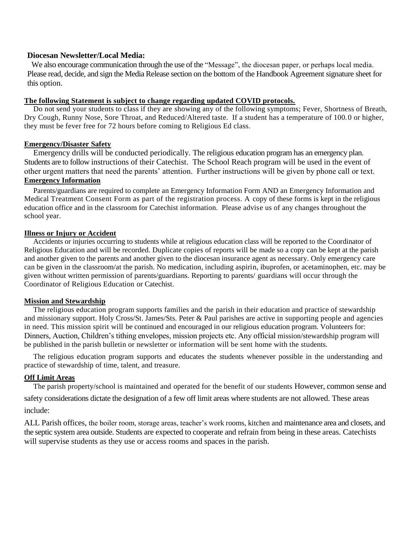## **Diocesan Newsletter/Local Media:**

We also encourage communication through the use of the "Message", the diocesan paper, or perhaps local media. Please read, decide, and sign the Media Release section on the bottom of the Handbook Agreement signature sheet for this option.

#### **The following Statement is subject to change regarding updated COVID protocols.**

Do not send your students to class if they are showing any of the following symptoms; Fever, Shortness of Breath, Dry Cough, Runny Nose, Sore Throat, and Reduced/Altered taste. If a student has a temperature of 100.0 or higher, they must be fever free for 72 hours before coming to Religious Ed class.

#### **Emergency/Disaster Safety**

Emergency drills will be conducted periodically. The religious education program has an emergency plan. Students are to follow instructions of their Catechist. The School Reach program will be used in the event of other urgent matters that need the parents' attention. Further instructions will be given by phone call or text. **Emergency Information** 

Parents/guardians are required to complete an Emergency Information Form AND an Emergency Information and Medical Treatment Consent Form as part of the registration process. A copy of these forms is kept in the religious education office and in the classroom for Catechist information. Please advise us of any changes throughout the school year.

#### **Illness or Injury or Accident**

Accidents or injuries occurring to students while at religious education class will be reported to the Coordinator of Religious Education and will be recorded. Duplicate copies of reports will be made so a copy can be kept at the parish and another given to the parents and another given to the diocesan insurance agent as necessary. Only emergency care can be given in the classroom/at the parish. No medication, including aspirin, ibuprofen, or acetaminophen, etc. may be given without written permission of parents/guardians. Reporting to parents/ guardians will occur through the Coordinator of Religious Education or Catechist.

#### **Mission and Stewardship**

The religious education program supports families and the parish in their education and practice of stewardship and missionary support. Holy Cross/St. James/Sts. Peter & Paul parishes are active in supporting people and agencies in need. This mission spirit will be continued and encouraged in our religious education program. Volunteers for: Dinners, Auction, Children's tithing envelopes, mission projects etc. Any official mission/stewardship program will be published in the parish bulletin or newsletter or information will be sent home with the students.

The religious education program supports and educates the students whenever possible in the understanding and practice of stewardship of time, talent, and treasure.

#### **Off Limit Areas**

The parish property/school is maintained and operated for the benefit of our students However, common sense and

safety considerations dictate the designation of a few off limit areas where students are not allowed. These areas include:

ALL Parish offices, the boiler room, storage areas, teacher's work rooms, kitchen and maintenance area and closets, and the septic system area outside. Students are expected to cooperate and refrain from being in these areas. Catechists will supervise students as they use or access rooms and spaces in the parish.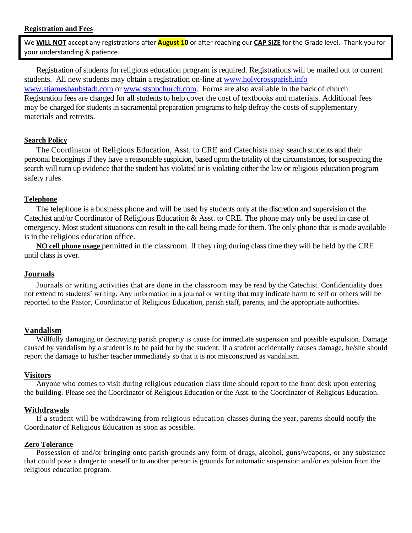#### **Registration and Fees**

We **WILL NOT** accept any registrations after **August 10** or after reaching our **CAP SIZE** for the Grade level**.** Thank you for your understanding & patience.

Registration of students for religious education program is required. Registrations will be mailed out to current students. All new students may obtain a registration on-line at [www.holycrossparish.info](http://www.holycrossparish.info/) [www.stjameshaubstadt.com](http://www.stjameshaubstadt.com/) or [www.stsppchurch.com.](http://www.stsppchurch.com/) Forms are also available in the back of church. Registration fees are charged for all students to help cover the cost of textbooks and materials. Additional fees may be charged for students in sacramental preparation programs to help defray the costs of supplementary materials and retreats.

## **Search Policy**

The Coordinator of Religious Education, Asst. to CRE and Catechists may search students and their personal belongings if they have a reasonable suspicion, based upon the totality of the circumstances, for suspecting the search will turn up evidence that the student has violated or is violating either the law or religious education program safety rules.

## **Telephone**

The telephone is a business phone and will be used by students only at the discretion and supervision of the Catechist and/or Coordinator of Religious Education & Asst. to CRE. The phone may only be used in case of emergency. Most student situations can result in the call being made for them. The only phone that is made available is in the religious education office.

**NO cell phone usage** permitted in the classroom. If they ring during class time they will be held by the CRE until class is over.

# **Journals**

Journals or writing activities that are done in the classroom may be read by the Catechist. Confidentiality does not extend to students' writing. Any information in a journal or writing that may indicate harm to self or others will be reported to the Pastor, Coordinator of Religious Education, parish staff, parents, and the appropriate authorities.

# **Vandalism**

Willfully damaging or destroying parish property is cause for immediate suspension and possible expulsion. Damage caused by vandalism by a student is to be paid for by the student. If a student accidentally causes damage, he/she should report the damage to his/her teacher immediately so that it is not misconstrued as vandalism.

## **Visitors**

Anyone who comes to visit during religious education class time should report to the front desk upon entering the building. Please see the Coordinator of Religious Education or the Asst. to the Coordinator of Religious Education.

#### **Withdrawals**

If a student will be withdrawing from religious education classes during the year, parents should notify the Coordinator of Religious Education as soon as possible.

## **Zero Tolerance**

Possession of and/or bringing onto parish grounds any form of drugs, alcohol, guns/weapons, or any substance that could pose a danger to oneself or to another person is grounds for automatic suspension and/or expulsion from the religious education program.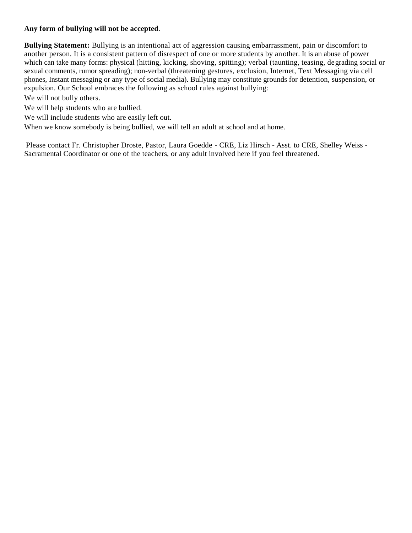# **Any form of bullying will not be accepted**.

**Bullying Statement:** Bullying is an intentional act of aggression causing embarrassment, pain or discomfort to another person. It is a consistent pattern of disrespect of one or more students by another. It is an abuse of power which can take many forms: physical (hitting, kicking, shoving, spitting); verbal (taunting, teasing, degrading social or sexual comments, rumor spreading); non-verbal (threatening gestures, exclusion, Internet, Text Messaging via cell phones, Instant messaging or any type of social media). Bullying may constitute grounds for detention, suspension, or expulsion. Our School embraces the following as school rules against bullying:

We will not bully others.

We will help students who are bullied.

We will include students who are easily left out.

When we know somebody is being bullied, we will tell an adult at school and at home.

Please contact Fr. Christopher Droste, Pastor, Laura Goedde - CRE, Liz Hirsch - Asst. to CRE, Shelley Weiss - Sacramental Coordinator or one of the teachers, or any adult involved here if you feel threatened.